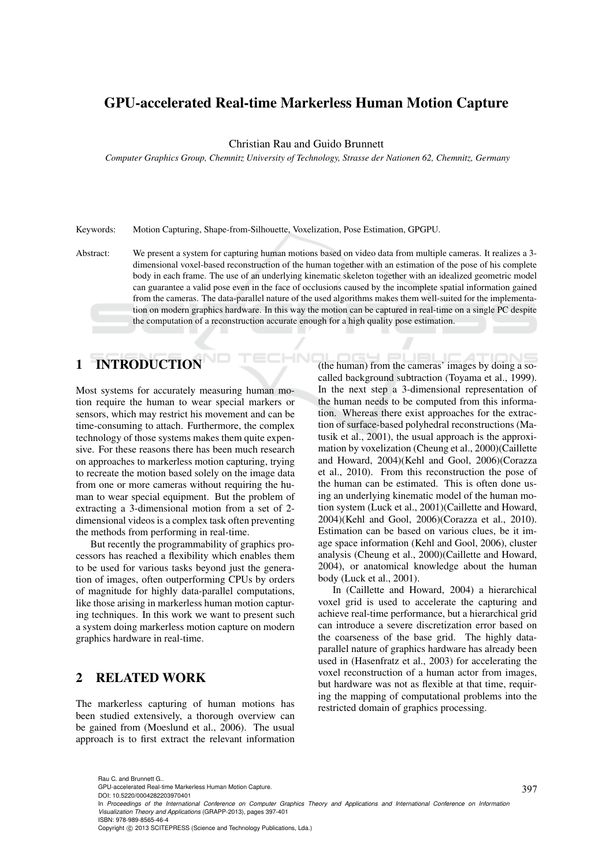## GPU-accelerated Real-time Markerless Human Motion Capture

Christian Rau and Guido Brunnett

*Computer Graphics Group, Chemnitz University of Technology, Strasse der Nationen 62, Chemnitz, Germany*

Keywords: Motion Capturing, Shape-from-Silhouette, Voxelization, Pose Estimation, GPGPU.

Abstract: We present a system for capturing human motions based on video data from multiple cameras. It realizes a 3 dimensional voxel-based reconstruction of the human together with an estimation of the pose of his complete body in each frame. The use of an underlying kinematic skeleton together with an idealized geometric model can guarantee a valid pose even in the face of occlusions caused by the incomplete spatial information gained from the cameras. The data-parallel nature of the used algorithms makes them well-suited for the implementation on modern graphics hardware. In this way the motion can be captured in real-time on a single PC despite the computation of a reconstruction accurate enough for a high quality pose estimation.

1N

# 1 INTRODUCTION

Most systems for accurately measuring human motion require the human to wear special markers or sensors, which may restrict his movement and can be time-consuming to attach. Furthermore, the complex technology of those systems makes them quite expensive. For these reasons there has been much research on approaches to markerless motion capturing, trying to recreate the motion based solely on the image data from one or more cameras without requiring the human to wear special equipment. But the problem of extracting a 3-dimensional motion from a set of 2 dimensional videos is a complex task often preventing the methods from performing in real-time.

But recently the programmability of graphics processors has reached a flexibility which enables them to be used for various tasks beyond just the generation of images, often outperforming CPUs by orders of magnitude for highly data-parallel computations, like those arising in markerless human motion capturing techniques. In this work we want to present such a system doing markerless motion capture on modern graphics hardware in real-time.

## 2 RELATED WORK

The markerless capturing of human motions has been studied extensively, a thorough overview can be gained from (Moeslund et al., 2006). The usual approach is to first extract the relevant information

(the human) from the cameras' images by doing a socalled background subtraction (Toyama et al., 1999). In the next step a 3-dimensional representation of the human needs to be computed from this information. Whereas there exist approaches for the extraction of surface-based polyhedral reconstructions (Matusik et al., 2001), the usual approach is the approximation by voxelization (Cheung et al., 2000)(Caillette and Howard, 2004)(Kehl and Gool, 2006)(Corazza et al., 2010). From this reconstruction the pose of the human can be estimated. This is often done using an underlying kinematic model of the human motion system (Luck et al., 2001)(Caillette and Howard, 2004)(Kehl and Gool, 2006)(Corazza et al., 2010). Estimation can be based on various clues, be it image space information (Kehl and Gool, 2006), cluster analysis (Cheung et al., 2000)(Caillette and Howard, 2004), or anatomical knowledge about the human body (Luck et al., 2001).

 $\mathcal{A}$ 

 $\overline{1}$ 

In (Caillette and Howard, 2004) a hierarchical voxel grid is used to accelerate the capturing and achieve real-time performance, but a hierarchical grid can introduce a severe discretization error based on the coarseness of the base grid. The highly dataparallel nature of graphics hardware has already been used in (Hasenfratz et al., 2003) for accelerating the voxel reconstruction of a human actor from images, but hardware was not as flexible at that time, requiring the mapping of computational problems into the restricted domain of graphics processing.

GPU-accelerated Real-time Markerless Human Motion Capture.

DOI: 10.5220/0004282203970401

Copyright © 2013 SCITEPRESS (Science and Technology Publications, Lda.)

Rau C. and Brunnett G..

In *Proceedings of the International Conference on Computer Graphics Theory and Applications and International Conference on Information Visualization Theory and Applications* (GRAPP-2013), pages 397-401 ISBN: 978-989-8565-46-4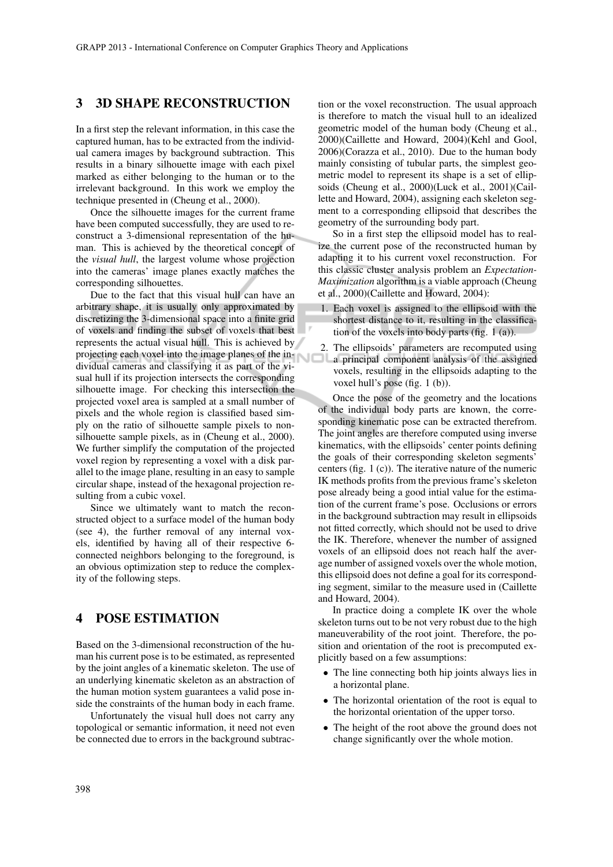#### 3 3D SHAPE RECONSTRUCTION

In a first step the relevant information, in this case the captured human, has to be extracted from the individual camera images by background subtraction. This results in a binary silhouette image with each pixel marked as either belonging to the human or to the irrelevant background. In this work we employ the technique presented in (Cheung et al., 2000).

Once the silhouette images for the current frame have been computed successfully, they are used to reconstruct a 3-dimensional representation of the human. This is achieved by the theoretical concept of the *visual hull*, the largest volume whose projection into the cameras' image planes exactly matches the corresponding silhouettes.

Due to the fact that this visual hull can have an arbitrary shape, it is usually only approximated by discretizing the 3-dimensional space into a finite grid of voxels and finding the subset of voxels that best represents the actual visual hull. This is achieved by projecting each voxel into the image planes of the individual cameras and classifying it as part of the visual hull if its projection intersects the corresponding silhouette image. For checking this intersection the projected voxel area is sampled at a small number of pixels and the whole region is classified based simply on the ratio of silhouette sample pixels to nonsilhouette sample pixels, as in (Cheung et al., 2000). We further simplify the computation of the projected voxel region by representing a voxel with a disk parallel to the image plane, resulting in an easy to sample circular shape, instead of the hexagonal projection resulting from a cubic voxel.

Since we ultimately want to match the reconstructed object to a surface model of the human body (see 4), the further removal of any internal voxels, identified by having all of their respective 6 connected neighbors belonging to the foreground, is an obvious optimization step to reduce the complexity of the following steps.

### 4 POSE ESTIMATION

Based on the 3-dimensional reconstruction of the human his current pose is to be estimated, as represented by the joint angles of a kinematic skeleton. The use of an underlying kinematic skeleton as an abstraction of the human motion system guarantees a valid pose inside the constraints of the human body in each frame.

Unfortunately the visual hull does not carry any topological or semantic information, it need not even be connected due to errors in the background subtrac-

tion or the voxel reconstruction. The usual approach is therefore to match the visual hull to an idealized geometric model of the human body (Cheung et al., 2000)(Caillette and Howard, 2004)(Kehl and Gool, 2006)(Corazza et al., 2010). Due to the human body mainly consisting of tubular parts, the simplest geometric model to represent its shape is a set of ellipsoids (Cheung et al., 2000)(Luck et al., 2001)(Caillette and Howard, 2004), assigning each skeleton segment to a corresponding ellipsoid that describes the geometry of the surrounding body part.

So in a first step the ellipsoid model has to realize the current pose of the reconstructed human by adapting it to his current voxel reconstruction. For this classic cluster analysis problem an *Expectation-Maximization* algorithm is a viable approach (Cheung et al., 2000)(Caillette and Howard, 2004):

- 1. Each voxel is assigned to the ellipsoid with the shortest distance to it, resulting in the classification of the voxels into body parts (fig. 1 (a)).
- 2. The ellipsoids' parameters are recomputed using оı a principal component analysis of the assigned voxels, resulting in the ellipsoids adapting to the voxel hull's pose (fig. 1 (b)).

Once the pose of the geometry and the locations of the individual body parts are known, the corresponding kinematic pose can be extracted therefrom. The joint angles are therefore computed using inverse kinematics, with the ellipsoids' center points defining the goals of their corresponding skeleton segments' centers (fig. 1 (c)). The iterative nature of the numeric IK methods profits from the previous frame's skeleton pose already being a good intial value for the estimation of the current frame's pose. Occlusions or errors in the background subtraction may result in ellipsoids not fitted correctly, which should not be used to drive the IK. Therefore, whenever the number of assigned voxels of an ellipsoid does not reach half the average number of assigned voxels over the whole motion, this ellipsoid does not define a goal for its corresponding segment, similar to the measure used in (Caillette and Howard, 2004).

In practice doing a complete IK over the whole skeleton turns out to be not very robust due to the high maneuverability of the root joint. Therefore, the position and orientation of the root is precomputed explicitly based on a few assumptions:

- The line connecting both hip joints always lies in a horizontal plane.
- The horizontal orientation of the root is equal to the horizontal orientation of the upper torso.
- The height of the root above the ground does not change significantly over the whole motion.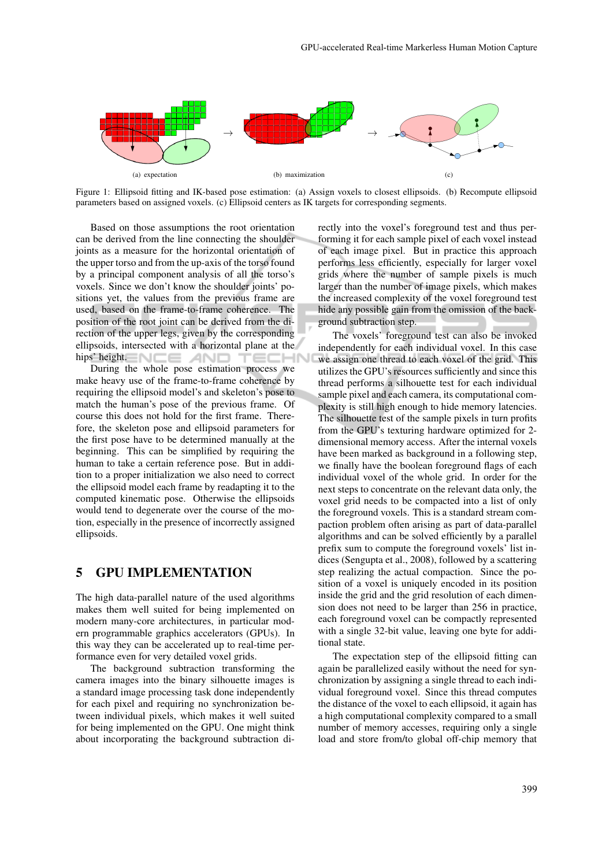

Figure 1: Ellipsoid fitting and IK-based pose estimation: (a) Assign voxels to closest ellipsoids. (b) Recompute ellipsoid parameters based on assigned voxels. (c) Ellipsoid centers as IK targets for corresponding segments.

Based on those assumptions the root orientation can be derived from the line connecting the shoulder joints as a measure for the horizontal orientation of the upper torso and from the up-axis of the torso found by a principal component analysis of all the torso's voxels. Since we don't know the shoulder joints' positions yet, the values from the previous frame are used, based on the frame-to-frame coherence. The position of the root joint can be derived from the direction of the upper legs, given by the corresponding ellipsoids, intersected with a horizontal plane at the hips' height.  $\Box \Box \Box$   $\Box$   $\Box$ TECHI

During the whole pose estimation process we make heavy use of the frame-to-frame coherence by requiring the ellipsoid model's and skeleton's pose to match the human's pose of the previous frame. Of course this does not hold for the first frame. Therefore, the skeleton pose and ellipsoid parameters for the first pose have to be determined manually at the beginning. This can be simplified by requiring the human to take a certain reference pose. But in addition to a proper initialization we also need to correct the ellipsoid model each frame by readapting it to the computed kinematic pose. Otherwise the ellipsoids would tend to degenerate over the course of the motion, especially in the presence of incorrectly assigned ellipsoids.

#### 5 GPU IMPLEMENTATION

The high data-parallel nature of the used algorithms makes them well suited for being implemented on modern many-core architectures, in particular modern programmable graphics accelerators (GPUs). In this way they can be accelerated up to real-time performance even for very detailed voxel grids.

The background subtraction transforming the camera images into the binary silhouette images is a standard image processing task done independently for each pixel and requiring no synchronization between individual pixels, which makes it well suited for being implemented on the GPU. One might think about incorporating the background subtraction directly into the voxel's foreground test and thus performing it for each sample pixel of each voxel instead of each image pixel. But in practice this approach performs less efficiently, especially for larger voxel grids where the number of sample pixels is much larger than the number of image pixels, which makes the increased complexity of the voxel foreground test hide any possible gain from the omission of the background subtraction step.

The voxels' foreground test can also be invoked independently for each individual voxel. In this case we assign one thread to each voxel of the grid. This utilizes the GPU's resources sufficiently and since this thread performs a silhouette test for each individual sample pixel and each camera, its computational complexity is still high enough to hide memory latencies. The silhouette test of the sample pixels in turn profits from the GPU's texturing hardware optimized for 2 dimensional memory access. After the internal voxels have been marked as background in a following step, we finally have the boolean foreground flags of each individual voxel of the whole grid. In order for the next steps to concentrate on the relevant data only, the voxel grid needs to be compacted into a list of only the foreground voxels. This is a standard stream compaction problem often arising as part of data-parallel algorithms and can be solved efficiently by a parallel prefix sum to compute the foreground voxels' list indices (Sengupta et al., 2008), followed by a scattering step realizing the actual compaction. Since the position of a voxel is uniquely encoded in its position inside the grid and the grid resolution of each dimension does not need to be larger than 256 in practice, each foreground voxel can be compactly represented with a single 32-bit value, leaving one byte for additional state.

The expectation step of the ellipsoid fitting can again be parallelized easily without the need for synchronization by assigning a single thread to each individual foreground voxel. Since this thread computes the distance of the voxel to each ellipsoid, it again has a high computational complexity compared to a small number of memory accesses, requiring only a single load and store from/to global off-chip memory that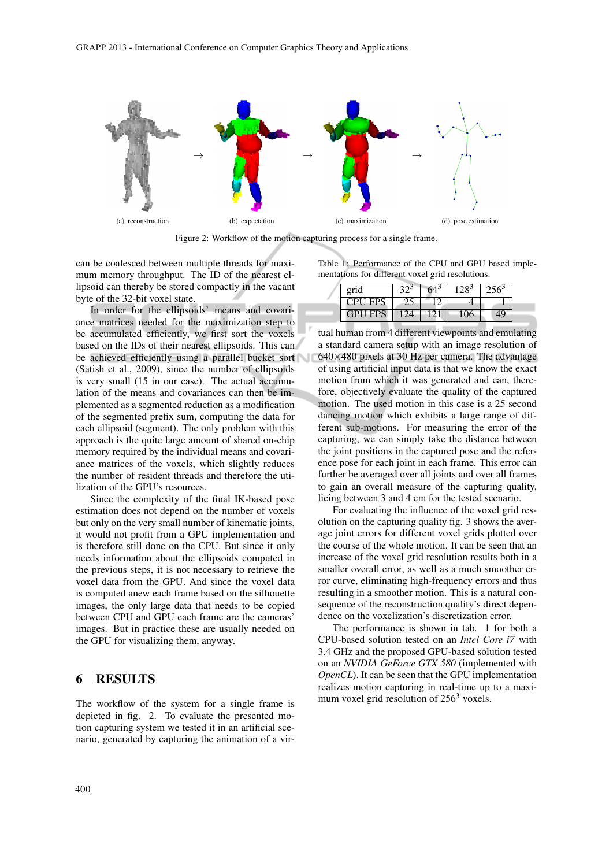

Figure 2: Workflow of the motion capturing process for a single frame.

can be coalesced between multiple threads for maximum memory throughput. The ID of the nearest ellipsoid can thereby be stored compactly in the vacant byte of the 32-bit voxel state.

In order for the ellipsoids' means and covariance matrices needed for the maximization step to be accumulated efficiently, we first sort the voxels based on the IDs of their nearest ellipsoids. This can be achieved efficiently using a parallel bucket sort (Satish et al., 2009), since the number of ellipsoids is very small (15 in our case). The actual accumulation of the means and covariances can then be implemented as a segmented reduction as a modification of the segmented prefix sum, computing the data for each ellipsoid (segment). The only problem with this approach is the quite large amount of shared on-chip memory required by the individual means and covariance matrices of the voxels, which slightly reduces the number of resident threads and therefore the utilization of the GPU's resources.

Since the complexity of the final IK-based pose estimation does not depend on the number of voxels but only on the very small number of kinematic joints, it would not profit from a GPU implementation and is therefore still done on the CPU. But since it only needs information about the ellipsoids computed in the previous steps, it is not necessary to retrieve the voxel data from the GPU. And since the voxel data is computed anew each frame based on the silhouette images, the only large data that needs to be copied between CPU and GPU each frame are the cameras' images. But in practice these are usually needed on the GPU for visualizing them, anyway.

#### 6 RESULTS

The workflow of the system for a single frame is depicted in fig. 2. To evaluate the presented motion capturing system we tested it in an artificial scenario, generated by capturing the animation of a virTable 1: Performance of the CPU and GPU based implementations for different voxel grid resolutions.

| grid           |  |  |  |
|----------------|--|--|--|
| <b>CPU FPS</b> |  |  |  |
| <b>GPU FPS</b> |  |  |  |

tual human from 4 different viewpoints and emulating a standard camera setup with an image resolution of  $640\times480$  pixels at 30 Hz per camera. The advantage of using artificial input data is that we know the exact motion from which it was generated and can, therefore, objectively evaluate the quality of the captured motion. The used motion in this case is a 25 second dancing motion which exhibits a large range of different sub-motions. For measuring the error of the capturing, we can simply take the distance between the joint positions in the captured pose and the reference pose for each joint in each frame. This error can further be averaged over all joints and over all frames to gain an overall measure of the capturing quality, lieing between 3 and 4 cm for the tested scenario.

For evaluating the influence of the voxel grid resolution on the capturing quality fig. 3 shows the average joint errors for different voxel grids plotted over the course of the whole motion. It can be seen that an increase of the voxel grid resolution results both in a smaller overall error, as well as a much smoother error curve, eliminating high-frequency errors and thus resulting in a smoother motion. This is a natural consequence of the reconstruction quality's direct dependence on the voxelization's discretization error.

The performance is shown in tab. 1 for both a CPU-based solution tested on an *Intel Core i7* with 3.4 GHz and the proposed GPU-based solution tested on an *NVIDIA GeForce GTX 580* (implemented with *OpenCL*). It can be seen that the GPU implementation realizes motion capturing in real-time up to a maximum voxel grid resolution of  $256<sup>3</sup>$  voxels.